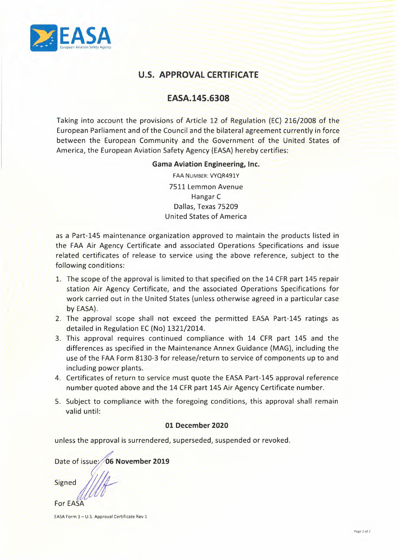

# **U.S. APPROVAL CERTIFICATE**

## **EASA.145.6308**

Taking into account the provisions of Article 12 of Regulation (EC) 216/2008 of the European Parliament and of the Council and the bilateral agreement currently in force between the European Community and the Government of the United States of America, the European Aviation Safety Agency (EASA) hereby certifies:

#### **Gama Aviation Engineering, Inc.**

FAA NUMBER: VYQR491Y 7511 Lemmon Avenue Hangar C Dallas, Texas 75209 United States of America

as a Part-145 maintenance organization approved to maintain the products listed in the FAA Air Agency Certificate and associated Operations Specifications and issue related certificates of release to service using the above reference, subject to the following conditions: 7511 Lemmon Avenue<br>
Inalias, Texas 75209<br>
United States of America<br>
United States of America<br>
the FAA Air Agency Certificate and associated Operations are products listed in<br>
the FAA Air Agency Certificate and associated

- 1. The scope of the approval is limited to that specified on the 14 CFR part 145 repair station Air Agency Certificate, and the associated Operations Specifications for work carried out in the United States (unless otherwise agreed in a particular case by EASA).
- 2. The approval scope shall not exceed the permitted EASA Part-145 ratings as detailed in Regulation EC (No) 1321/2014.
- 3. This approval requires continued compliance with 14 CFR part 145 and the differences as specified in the Maintenance Annex Guidance (MAG), including the use of the FAA Form 8130-3 for release/return to service of components up to and including power plants.
- 4. Certificates of return to service must quote the EASA Part-145 approval reference number quoted above and the 14 CFR part 145 Air Agency Certificate number.
- 5. Subject to compliance with the foregoing conditions, this approval shall remain valid until:

### **01 December 2020**

unless the approval is surrendered, superseded, suspended or revoked.<br>Date of issue://06 November 2019

For EASA

EASA Form 3--U.S. Approval Certificate Rev 1